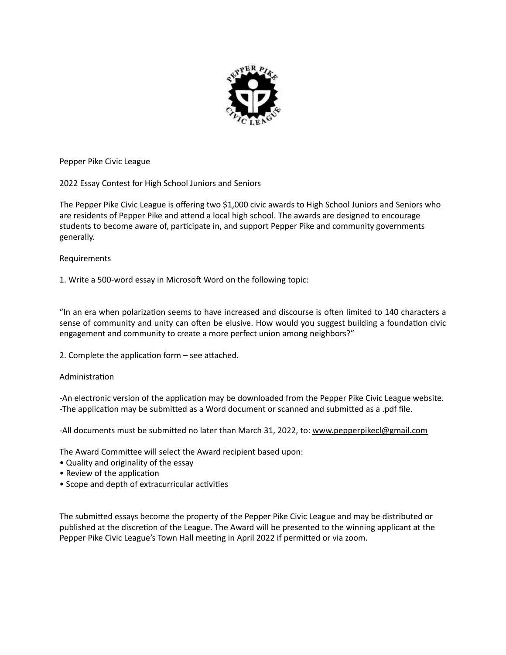

Pepper Pike Civic League

2022 Essay Contest for High School Juniors and Seniors

The Pepper Pike Civic League is offering two \$1,000 civic awards to High School Juniors and Seniors who are residents of Pepper Pike and attend a local high school. The awards are designed to encourage students to become aware of, participate in, and support Pepper Pike and community governments generally. 

## Requirements

1. Write a 500-word essay in Microsoft Word on the following topic:

"In an era when polarization seems to have increased and discourse is often limited to 140 characters a sense of community and unity can often be elusive. How would you suggest building a foundation civic engagement and community to create a more perfect union among neighbors?"

2. Complete the application form  $-$  see attached.

## Administration

-An electronic version of the application may be downloaded from the Pepper Pike Civic League website. -The application may be submitted as a Word document or scanned and submitted as a .pdf file.

-All documents must be submitted no later than March 31, 2022, to: www.pepperpikecl@gmail.com

The Award Committee will select the Award recipient based upon:

- Quality and originality of the essay
- Review of the application
- Scope and depth of extracurricular activities

The submitted essays become the property of the Pepper Pike Civic League and may be distributed or published at the discretion of the League. The Award will be presented to the winning applicant at the Pepper Pike Civic League's Town Hall meeting in April 2022 if permitted or via zoom.